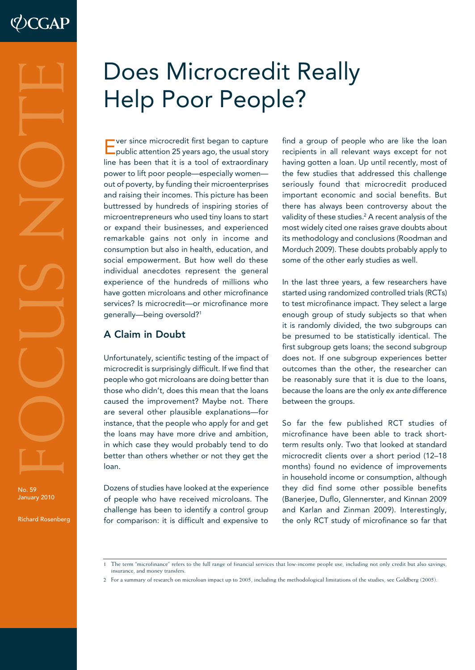No. 59 January 2010

Richard Rosenberg

# Does Microcredit Really Help Poor People?

Ever since microcredit first began to capture public attention 25 years ago, the usual story line has been that it is a tool of extraordinary power to lift poor people—especially women out of poverty, by funding their microenterprises and raising their incomes. This picture has been buttressed by hundreds of inspiring stories of microentrepreneurs who used tiny loans to start or expand their businesses, and experienced remarkable gains not only in income and consumption but also in health, education, and social empowerment. But how well do these individual anecdotes represent the general experience of the hundreds of millions who have gotten microloans and other microfinance services? Is microcredit—or microfinance more generally—being oversold?1

## A Claim in Doubt

Unfortunately, scientific testing of the impact of microcredit is surprisingly difficult. If we find that people who got microloans are doing better than those who didn't, does this mean that the loans caused the improvement? Maybe not. There are several other plausible explanations—for instance, that the people who apply for and get the loans may have more drive and ambition, in which case they would probably tend to do better than others whether or not they get the loan.

Dozens of studies have looked at the experience of people who have received microloans. The challenge has been to identify a control group for comparison: it is difficult and expensive to

find a group of people who are like the loan recipients in all relevant ways except for not having gotten a loan. Up until recently, most of the few studies that addressed this challenge seriously found that microcredit produced important economic and social benefits. But there has always been controversy about the validity of these studies.2 A recent analysis of the most widely cited one raises grave doubts about its methodology and conclusions (Roodman and Morduch 2009). These doubts probably apply to some of the other early studies as well.

In the last three years, a few researchers have started using randomized controlled trials (RCTs) to test microfinance impact. They select a large enough group of study subjects so that when it is randomly divided, the two subgroups can be presumed to be statistically identical. The first subgroup gets loans; the second subgroup does not. If one subgroup experiences better outcomes than the other, the researcher can be reasonably sure that it is due to the loans, because the loans are the only ex ante difference between the groups.

So far the few published RCT studies of microfinance have been able to track shortterm results only. Two that looked at standard microcredit clients over a short period (12–18 months) found no evidence of improvements in household income or consumption, although they did find some other possible benefits (Banerjee, Duflo, Glennerster, and Kinnan 2009 and Karlan and Zinman 2009). Interestingly, the only RCT study of microfinance so far that

2 For a summary of research on microloan impact up to 2005, including the methodological limitations of the studies, see Goldberg (2005).

The term "microfinance" refers to the full range of financial services that low-income people use, including not only credit but also savings, insurance, and money transfers.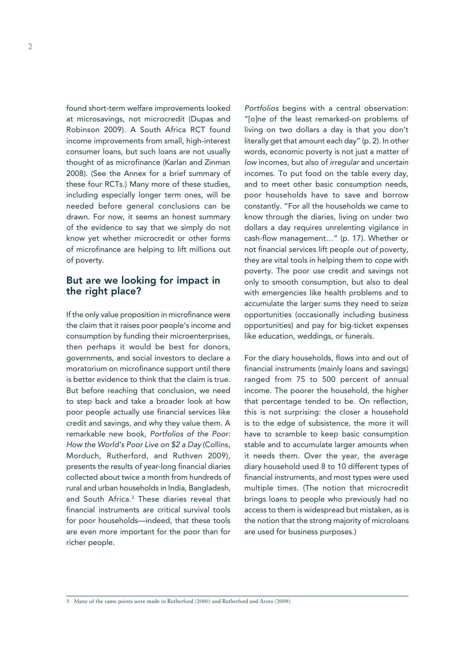found short-term welfare improvements looked at microsavings, not microcredit (Dupas and Robinson 2009). A South Africa RCT found income improvements from small, high-interest consumer loans, but such loans are not usually thought of as microfinance (Karlan and Zinman 2008). (See the Annex for a brief summary of these four RCTs.) Many more of these studies, including especially longer term ones, will be needed before general conclusions can be drawn. For now, it seems an honest summary of the evidence to say that we simply do not know yet whether microcredit or other forms of microfinance are helping to lift millions out of poverty.

#### But are we looking for impact in the right place?

If the only value proposition in microfinance were the claim that it raises poor people's income and consumption by funding their microenterprises, then perhaps it would be best for donors, governments, and social investors to declare a moratorium on microfinance support until there is better evidence to think that the claim is true. But before reaching that conclusion, we need to step back and take a broader look at how poor people actually use financial services like credit and savings, and why they value them. A remarkable new book, Portfolios of the Poor: How the World's Poor Live on \$2 a Day (Collins, Morduch, Rutherford, and Ruthven 2009), presents the results of year-long financial diaries collected about twice a month from hundreds of rural and urban households in India, Bangladesh, and South Africa.<sup>3</sup> These diaries reveal that financial instruments are critical survival tools for poor households—indeed, that these tools are even more important for the poor than for richer people.

Portfolios begins with a central observation: "[o]ne of the least remarked-on problems of living on two dollars a day is that you don't literally get that amount each day" (p. 2). In other words, economic poverty is not just a matter of low incomes, but also of irregular and uncertain incomes. To put food on the table every day, and to meet other basic consumption needs, poor households have to save and borrow constantly. "For all the households we came to know through the diaries, living on under two dollars a day requires unrelenting vigilance in cash-flow management…" (p. 17). Whether or not financial services lift people out of poverty, they are vital tools in helping them to cope with poverty. The poor use credit and savings not only to smooth consumption, but also to deal with emergencies like health problems and to accumulate the larger sums they need to seize opportunities (occasionally including business opportunities) and pay for big-ticket expenses like education, weddings, or funerals.

For the diary households, flows into and out of financial instruments (mainly loans and savings) ranged from 75 to 500 percent of annual income. The poorer the household, the higher that percentage tended to be. On reflection, this is not surprising: the closer a household is to the edge of subsistence, the more it will have to scramble to keep basic consumption stable and to accumulate larger amounts when it needs them. Over the year, the average diary household used 8 to 10 different types of financial instruments, and most types were used multiple times. (The notion that microcredit brings loans to people who previously had no access to them is widespread but mistaken, as is the notion that the strong majority of microloans are used for business purposes.)

3 Many of the same points were made in Rutherford (2000) and Rutherford and Arora (2009).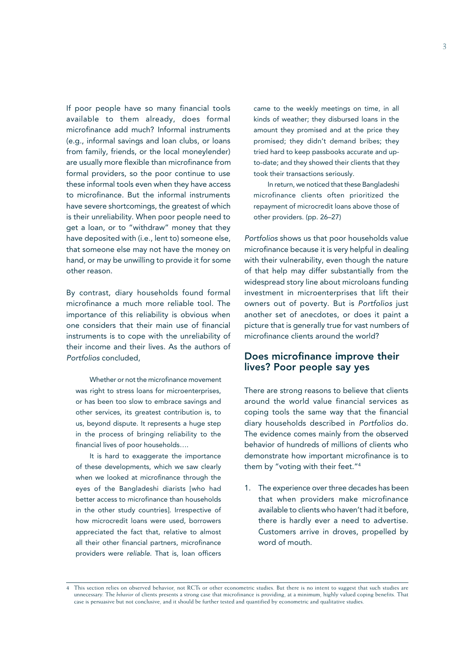If poor people have so many financial tools available to them already, does formal microfinance add much? Informal instruments (e.g., informal savings and loan clubs, or loans from family, friends, or the local moneylender) are usually more flexible than microfinance from formal providers, so the poor continue to use these informal tools even when they have access to microfinance. But the informal instruments have severe shortcomings, the greatest of which is their unreliability. When poor people need to get a loan, or to "withdraw" money that they have deposited with (i.e., lent to) someone else, that someone else may not have the money on hand, or may be unwilling to provide it for some other reason.

By contrast, diary households found formal microfinance a much more reliable tool. The importance of this reliability is obvious when one considers that their main use of financial instruments is to cope with the unreliability of their income and their lives. As the authors of Portfolios concluded,

Whether or not the microfinance movement was right to stress loans for microenterprises, or has been too slow to embrace savings and other services, its greatest contribution is, to us, beyond dispute. It represents a huge step in the process of bringing reliability to the financial lives of poor households….

It is hard to exaggerate the importance of these developments, which we saw clearly when we looked at microfinance through the eyes of the Bangladeshi diarists [who had better access to microfinance than households in the other study countries]. Irrespective of how microcredit loans were used, borrowers appreciated the fact that, relative to almost all their other financial partners, microfinance providers were reliable. That is, loan officers

came to the weekly meetings on time, in all kinds of weather; they disbursed loans in the amount they promised and at the price they promised; they didn't demand bribes; they tried hard to keep passbooks accurate and upto-date; and they showed their clients that they took their transactions seriously.

In return, we noticed that these Bangladeshi microfinance clients often prioritized the repayment of microcredit loans above those of other providers. (pp. 26–27)

Portfolios shows us that poor households value microfinance because it is very helpful in dealing with their vulnerability, even though the nature of that help may differ substantially from the widespread story line about microloans funding investment in microenterprises that lift their owners out of poverty. But is Portfolios just another set of anecdotes, or does it paint a picture that is generally true for vast numbers of microfinance clients around the world?

#### Does microfinance improve their lives? Poor people say yes

There are strong reasons to believe that clients around the world value financial services as coping tools the same way that the financial diary households described in Portfolios do. The evidence comes mainly from the observed behavior of hundreds of millions of clients who demonstrate how important microfinance is to them by "voting with their feet."4

1. The experience over three decades has been that when providers make microfinance available to clients who haven't had it before, there is hardly ever a need to advertise. Customers arrive in droves, propelled by word of mouth.

This section relies on observed behavior, not RCTs or other econometric studies. But there is no intent to suggest that such studies are unnecessary. The *behavior* of clients presents a strong case that microfinance is providing, at a minimum, highly valued coping benefits. That case is persuasive but not conclusive, and it should be further tested and quantified by econometric and qualitative studies.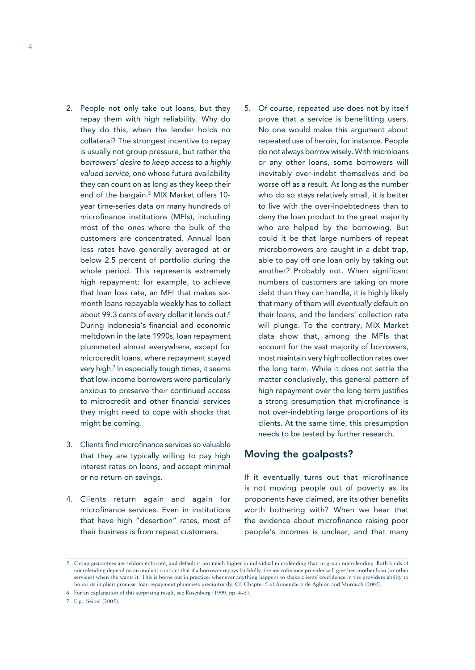- 2. People not only take out loans, but they repay them with high reliability. Why do they do this, when the lender holds no collateral? The strongest incentive to repay is usually not group pressure, but rather the borrowers' desire to keep access to a highly valued service, one whose future availability they can count on as long as they keep their end of the bargain. 5 MIX Market offers 10 year time-series data on many hundreds of microfinance institutions (MFIs), including most of the ones where the bulk of the customers are concentrated. Annual loan loss rates have generally averaged at or below 2.5 percent of portfolio during the whole period. This represents extremely high repayment: for example, to achieve that loan loss rate, an MFI that makes sixmonth loans repayable weekly has to collect about 99.3 cents of every dollar it lends out.<sup>6</sup> During Indonesia's financial and economic meltdown in the late 1990s, loan repayment plummeted almost everywhere, except for microcredit loans, where repayment stayed very high.7 In especially tough times, it seems that low-income borrowers were particularly anxious to preserve their continued access to microcredit and other financial services they might need to cope with shocks that might be coming.
- 3. Clients find microfinance services so valuable that they are typically willing to pay high interest rates on loans, and accept minimal or no return on savings.
- 4. Clients return again and again for microfinance services. Even in institutions that have high "desertion" rates, most of their business is from repeat customers.
- 5. Of course, repeated use does not by itself prove that a service is benefitting users. No one would make this argument about repeated use of heroin, for instance. People do not always borrow wisely. With microloans or any other loans, some borrowers will inevitably over-indebt themselves and be worse off as a result. As long as the number who do so stays relatively small, it is better to live with the over-indebtedness than to deny the loan product to the great majority who are helped by the borrowing. But could it be that large numbers of repeat microborrowers are caught in a debt trap, able to pay off one loan only by taking out another? Probably not. When significant numbers of customers are taking on more debt than they can handle, it is highly likely that many of them will eventually default on their loans, and the lenders' collection rate will plunge. To the contrary, MIX Market data show that, among the MFIs that account for the vast majority of borrowers, most maintain very high collection rates over the long term. While it does not settle the matter conclusively, this general pattern of high repayment over the long term justifies a strong presumption that microfinance is not over-indebting large proportions of its clients. At the same time, this presumption needs to be tested by further research.

#### Moving the goalposts?

If it eventually turns out that microfinance is not moving people out of poverty as its proponents have claimed, are its other benefits worth bothering with? When we hear that the evidence about microfinance raising poor people's incomes is unclear, and that many

<sup>5</sup> Group guarantees are seldom enforced, and default is not much higher in individual microlending than in group microlending. Both kinds of microlending depend on an implicit contract that if a borrower repays faithfully, the microfinance provider will give her another loan (or other services) when she wants it. This is borne out in practice: whenever anything happens to shake clients' confidence in the provider's ability to honor its implicit promise, loan repayment plummets precipitously. Cf. Chapter 5 of Armendariz de Aghion and Morduch (2005).

<sup>6</sup> For an explanation of this surprising result, see Rosenberg (1999, pp. 4–5).

<sup>7</sup> E.g., Seibel (2005).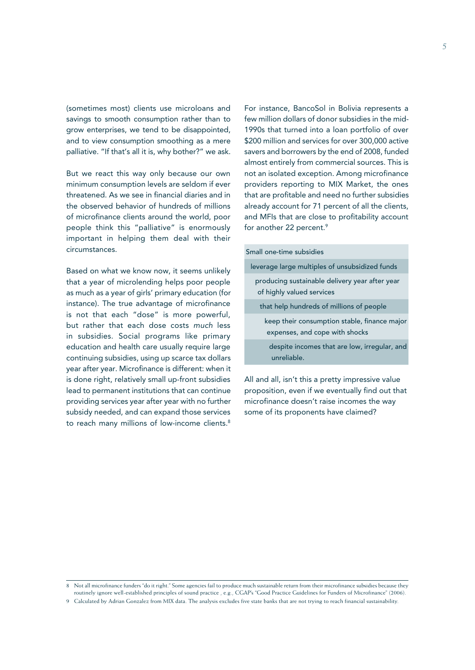(sometimes most) clients use microloans and savings to smooth consumption rather than to grow enterprises, we tend to be disappointed, and to view consumption smoothing as a mere palliative. "If that's all it is, why bother?" we ask.

But we react this way only because our own minimum consumption levels are seldom if ever threatened. As we see in financial diaries and in the observed behavior of hundreds of millions of microfinance clients around the world, poor people think this "palliative" is enormously important in helping them deal with their circumstances.

Based on what we know now, it seems unlikely that a year of microlending helps poor people as much as a year of girls' primary education (for instance). The true advantage of microfinance is not that each "dose" is more powerful, but rather that each dose costs much less in subsidies. Social programs like primary education and health care usually require large continuing subsidies, using up scarce tax dollars year after year. Microfinance is different: when it is done right, relatively small up-front subsidies lead to permanent institutions that can continue providing services year after year with no further subsidy needed, and can expand those services to reach many millions of low-income clients.<sup>8</sup>

For instance, BancoSol in Bolivia represents a few million dollars of donor subsidies in the mid-1990s that turned into a loan portfolio of over \$200 million and services for over 300,000 active savers and borrowers by the end of 2008, funded almost entirely from commercial sources. This is not an isolated exception. Among microfinance providers reporting to MIX Market, the ones that are profitable and need no further subsidies already account for 71 percent of all the clients, and MFIs that are close to profitability account for another 22 percent.<sup>9</sup>

| Small one-time subsidies                                                       |
|--------------------------------------------------------------------------------|
| leverage large multiples of unsubsidized funds                                 |
| producing sustainable delivery year after year<br>of highly valued services    |
| that help hundreds of millions of people                                       |
| keep their consumption stable, finance major<br>expenses, and cope with shocks |
| despite incomes that are low, irregular, and<br>unreliable.                    |
|                                                                                |

All and all, isn't this a pretty impressive value proposition, even if we eventually find out that microfinance doesn't raise incomes the way some of its proponents have claimed?

<sup>8</sup> Not all microfinance funders "do it right." Some agencies fail to produce much sustainable return from their microfinance subsidies because they routinely ignore well-established principles of sound practice , e.g., CGAP's "Good Practice Guidelines for Funders of Microfinance" (2006).

<sup>9</sup> Calculated by Adrian Gonzalez from MIX data. The analysis excludes five state banks that are not trying to reach financial sustainability.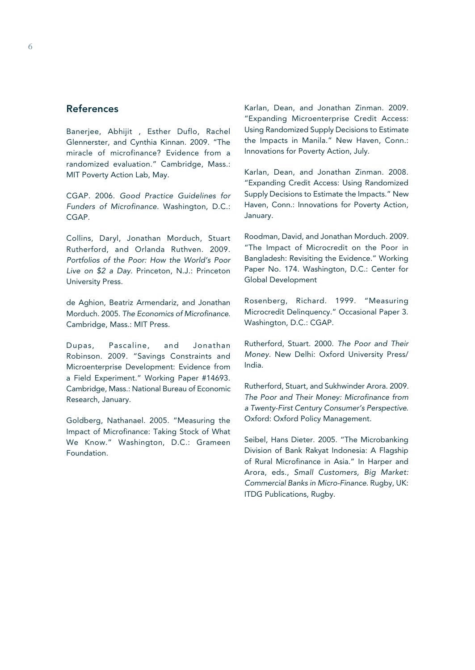### References

Banerjee, Abhijit , Esther Duflo, Rachel Glennerster, and Cynthia Kinnan. 2009. "The miracle of microfinance? Evidence from a randomized evaluation." Cambridge, Mass.: MIT Poverty Action Lab, May.

CGAP. 2006. Good Practice Guidelines for Funders of Microfinance. Washington, D.C.: CGAP.

Collins, Daryl, Jonathan Morduch, Stuart Rutherford, and Orlanda Ruthven. 2009. Portfolios of the Poor: How the World's Poor Live on \$2 a Day. Princeton, N.J.: Princeton University Press.

de Aghion, Beatriz Armendariz, and Jonathan Morduch. 2005. The Economics of Microfinance. Cambridge, Mass.: MIT Press.

Dupas, Pascaline, and Jonathan Robinson. 2009. "Savings Constraints and Microenterprise Development: Evidence from a Field Experiment." Working Paper #14693. Cambridge, Mass.: National Bureau of Economic Research, January.

Goldberg, Nathanael. 2005. "Measuring the Impact of Microfinance: Taking Stock of What We Know." Washington, D.C.: Grameen Foundation.

Karlan, Dean, and Jonathan Zinman. 2009. "Expanding Microenterprise Credit Access: Using Randomized Supply Decisions to Estimate the Impacts in Manila." New Haven, Conn.: Innovations for Poverty Action, July.

Karlan, Dean, and Jonathan Zinman. 2008. "Expanding Credit Access: Using Randomized Supply Decisions to Estimate the Impacts." New Haven, Conn.: Innovations for Poverty Action, January.

Roodman, David, and Jonathan Morduch. 2009. "The Impact of Microcredit on the Poor in Bangladesh: Revisiting the Evidence." Working Paper No. 174. Washington, D.C.: Center for Global Development

Rosenberg, Richard. 1999. "Measuring Microcredit Delinquency." Occasional Paper 3. Washington, D.C.: CGAP.

Rutherford, Stuart. 2000. The Poor and Their Money. New Delhi: Oxford University Press/ India.

Rutherford, Stuart, and Sukhwinder Arora. 2009. The Poor and Their Money: Microfinance from a Twenty-First Century Consumer's Perspective. Oxford: Oxford Policy Management.

Seibel, Hans Dieter. 2005. "The Microbanking Division of Bank Rakyat Indonesia: A Flagship of Rural Microfinance in Asia." In Harper and Arora, eds., Small Customers, Big Market: Commercial Banks in Micro-Finance. Rugby, UK: ITDG Publications, Rugby.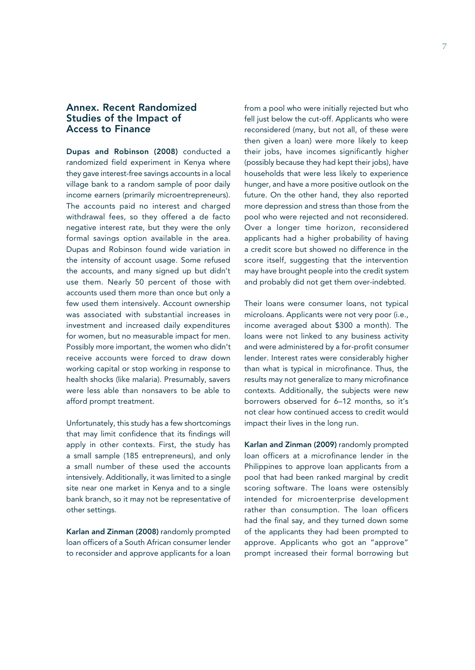#### Annex. Recent Randomized Studies of the Impact of Access to Finance

Dupas and Robinson (2008) conducted a randomized field experiment in Kenya where they gave interest-free savings accounts in a local village bank to a random sample of poor daily income earners (primarily microentrepreneurs). The accounts paid no interest and charged withdrawal fees, so they offered a de facto negative interest rate, but they were the only formal savings option available in the area. Dupas and Robinson found wide variation in the intensity of account usage. Some refused the accounts, and many signed up but didn't use them. Nearly 50 percent of those with accounts used them more than once but only a few used them intensively. Account ownership was associated with substantial increases in investment and increased daily expenditures for women, but no measurable impact for men. Possibly more important, the women who didn't receive accounts were forced to draw down working capital or stop working in response to health shocks (like malaria). Presumably, savers were less able than nonsavers to be able to afford prompt treatment.

Unfortunately, this study has a few shortcomings that may limit confidence that its findings will apply in other contexts. First, the study has a small sample (185 entrepreneurs), and only a small number of these used the accounts intensively. Additionally, it was limited to a single site near one market in Kenya and to a single bank branch, so it may not be representative of other settings.

Karlan and Zinman (2008) randomly prompted loan officers of a South African consumer lender to reconsider and approve applicants for a loan

from a pool who were initially rejected but who fell just below the cut-off. Applicants who were reconsidered (many, but not all, of these were then given a loan) were more likely to keep their jobs, have incomes significantly higher (possibly because they had kept their jobs), have households that were less likely to experience hunger, and have a more positive outlook on the future. On the other hand, they also reported more depression and stress than those from the pool who were rejected and not reconsidered. Over a longer time horizon, reconsidered applicants had a higher probability of having a credit score but showed no difference in the score itself, suggesting that the intervention may have brought people into the credit system and probably did not get them over-indebted.

Their loans were consumer loans, not typical microloans. Applicants were not very poor (i.e., income averaged about \$300 a month). The loans were not linked to any business activity and were administered by a for-profit consumer lender. Interest rates were considerably higher than what is typical in microfinance. Thus, the results may not generalize to many microfinance contexts. Additionally, the subjects were new borrowers observed for 6–12 months, so it's not clear how continued access to credit would impact their lives in the long run.

Karlan and Zinman (2009) randomly prompted loan officers at a microfinance lender in the Philippines to approve loan applicants from a pool that had been ranked marginal by credit scoring software. The loans were ostensibly intended for microenterprise development rather than consumption. The loan officers had the final say, and they turned down some of the applicants they had been prompted to approve. Applicants who got an "approve" prompt increased their formal borrowing but